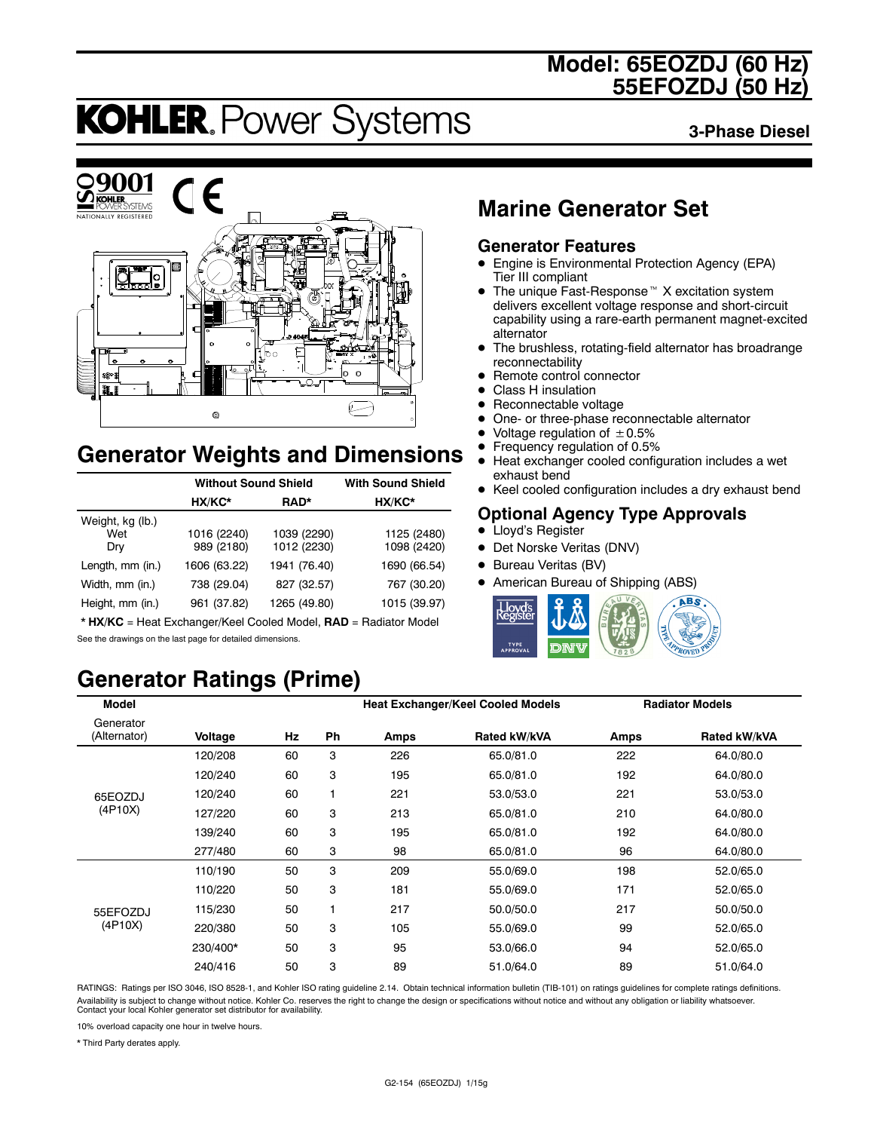### **Model: 65EOZDJ (60 Hz) 55EFOZDJ (50 Hz)**

# **KOHLER. Power Systems**

**3-Phase Diesel**



### **Generator Weights and Dimensions**

|                                | <b>Without Sound Shield</b> | <b>With Sound Shield</b>   |                            |
|--------------------------------|-----------------------------|----------------------------|----------------------------|
|                                | HX/KC*                      | RAD*                       | HX/KC*                     |
| Weight, kg (lb.)<br>Wet<br>Dry | 1016 (2240)<br>989 (2180)   | 1039 (2290)<br>1012 (2230) | 1125 (2480)<br>1098 (2420) |
| Length, mm (in.)               | 1606 (63.22)                | 1941 (76.40)               | 1690 (66.54)               |
| Width, mm (in.)                | 738 (29.04)                 | 827 (32.57)                | 767 (30.20)                |
| Height, mm (in.)               | 961 (37.82)                 | 1265 (49.80)               | 1015 (39.97)               |

\* **HX/KC** = Heat Exchanger/Keel Cooled Model, **RAD** = Radiator Model See the drawings on the last page for detailed dimensions.

## **Generator Ratings (Prime)**

### **Marine Generator Set**

#### **Generator Features**

- Engine is Environmental Protection Agency (EPA) Tier III compliant
- $\bullet$  The unique Fast-Response<sup> $M$ </sup> X excitation system delivers excellent voltage response and short-circuit capability using a rare-earth permanent magnet-excited alternator
- The brushless, rotating-field alternator has broadrange reconnectability
- Remote control connector
- Class H insulation
- Reconnectable voltage
- One- or three-phase reconnectable alternator
- Voltage regulation of  $\pm 0.5\%$ <br>• Frequency regulation of 0.5%
- **•** Frequency regulation of 0.5%<br>• Heat exchanger cooled config
- Heat exchanger cooled configuration includes a wet exhaust bend
- Keel cooled configuration includes a dry exhaust bend

#### **Optional Agency Type Approvals**

- Lloyd's Register
- Det Norske Veritas (DNV)
- Bureau Veritas (BV)
- American Bureau of Shipping (ABS)



| <b>Model</b>              |          |    |    |      | <b>Heat Exchanger/Keel Cooled Models</b> |             | <b>Radiator Models</b> |
|---------------------------|----------|----|----|------|------------------------------------------|-------------|------------------------|
| Generator<br>(Alternator) | Voltage  | Hz | Ph | Amps | Rated kW/kVA                             | <b>Amps</b> | Rated kW/kVA           |
|                           | 120/208  | 60 | 3  | 226  | 65.0/81.0                                | 222         | 64.0/80.0              |
|                           | 120/240  | 60 | 3  | 195  | 65.0/81.0                                | 192         | 64.0/80.0              |
| 65EOZDJ                   | 120/240  | 60 | 1  | 221  | 53.0/53.0                                | 221         | 53.0/53.0              |
| (4P10X)                   | 127/220  | 60 | 3  | 213  | 65.0/81.0                                | 210         | 64.0/80.0              |
|                           | 139/240  | 60 | 3  | 195  | 65.0/81.0                                | 192         | 64.0/80.0              |
|                           | 277/480  | 60 | 3  | 98   | 65.0/81.0                                | 96          | 64.0/80.0              |
|                           | 110/190  | 50 | 3  | 209  | 55.0/69.0                                | 198         | 52.0/65.0              |
|                           | 110/220  | 50 | 3  | 181  | 55.0/69.0                                | 171         | 52.0/65.0              |
| 55EFOZDJ                  | 115/230  | 50 | 1  | 217  | 50.0/50.0                                | 217         | 50.0/50.0              |
| (4P10X)                   | 220/380  | 50 | 3  | 105  | 55.0/69.0                                | 99          | 52.0/65.0              |
|                           | 230/400* | 50 | 3  | 95   | 53.0/66.0                                | 94          | 52.0/65.0              |
|                           | 240/416  | 50 | 3  | 89   | 51.0/64.0                                | 89          | 51.0/64.0              |

RATINGS: Ratings per ISO 3046, ISO 8528-1, and Kohler ISO rating guideline 2.14. Obtain technical information bulletin (TIB-101) on ratings guidelines for complete ratings definitions. Availability is subject to change without notice. Kohler Co. reserves the right to change the design or specifications without notice and without any obligation or liability whatsoever. Contact your local Kohler generator set distributor for availability.

10% overload capacity one hour in twelve hours.

\* Third Party derates apply.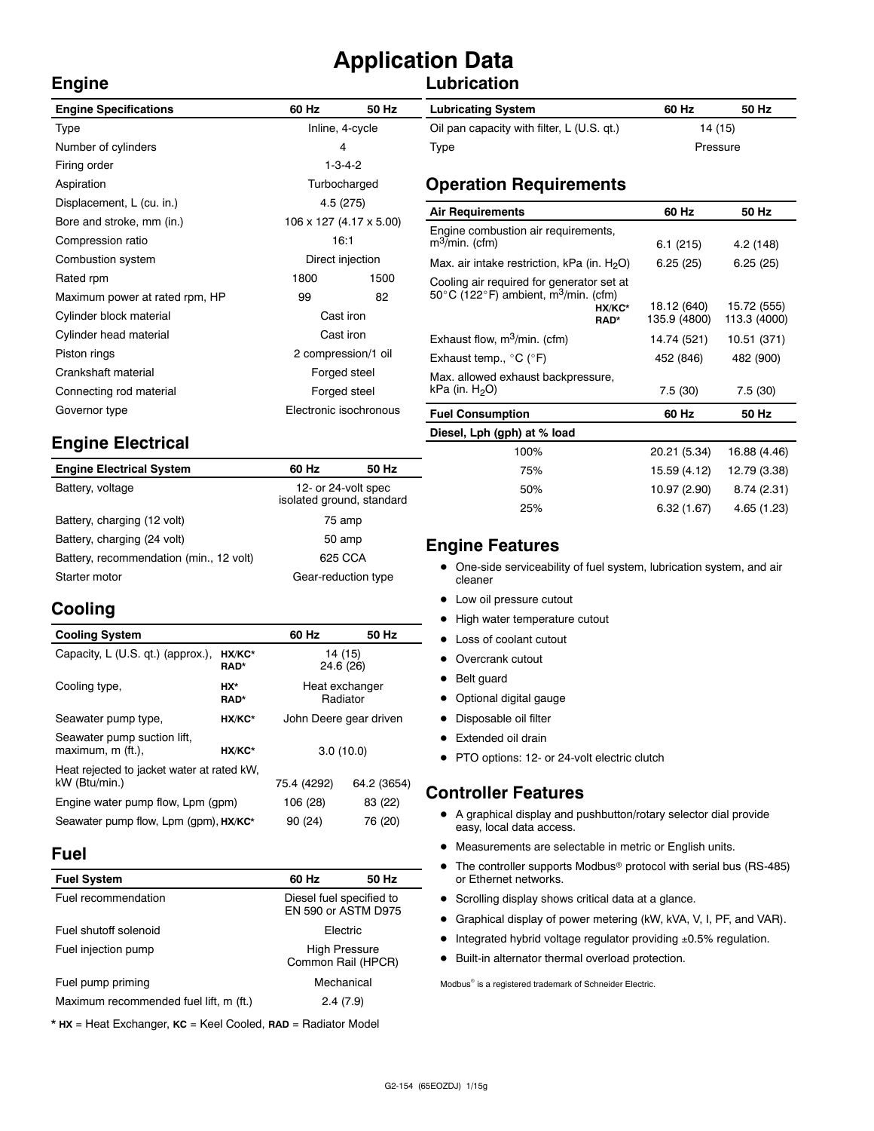# **Application Data**

#### **Lubrication**

| <b>Engine Specifications</b>   | 60 Hz                  | 50 Hz                   | <b>Lubricating System</b>                                            |  |
|--------------------------------|------------------------|-------------------------|----------------------------------------------------------------------|--|
| Type                           | Inline, 4-cycle        |                         | Oil pan capacity with filter, L (U.S. qt.)                           |  |
| Number of cylinders            | 4                      |                         | Type                                                                 |  |
| Firing order                   | $1 - 3 - 4 - 2$        |                         |                                                                      |  |
| Aspiration                     |                        | Turbocharged            | <b>Operation Requirements</b>                                        |  |
| Displacement, L (cu. in.)      |                        | 4.5 (275)               | <b>Air Requirements</b>                                              |  |
| Bore and stroke, mm (in.)      |                        | 106 x 127 (4.17 x 5.00) |                                                                      |  |
| Compression ratio              | 16:1                   |                         | Engine combustion air requirements,<br>$m^3$ /min. (cfm)             |  |
| Combustion system              |                        | Direct injection        | Max. air intake restriction, kPa (in. $H_2O$ )                       |  |
| Rated rpm                      | 1800                   | 1500                    | Cooling air required for generator set at                            |  |
| Maximum power at rated rpm, HP | 99<br>82               |                         | 50 $\degree$ C (122 $\degree$ F) ambient, m <sup>3</sup> /min. (cfm) |  |
| Cylinder block material        | Cast iron              |                         | HX/KC*<br>RAD*                                                       |  |
| Cylinder head material         | Cast iron              |                         | Exhaust flow, $m^3/m$ in. (cfm)                                      |  |
| Piston rings                   | 2 compression/1 oil    |                         | Exhaust temp., $^{\circ}$ C ( $^{\circ}$ F)                          |  |
| Crankshaft material            | Forged steel           |                         | Max. allowed exhaust backpressure,                                   |  |
| Connecting rod material        | Forged steel           |                         | kPa (in. $H2O$ )                                                     |  |
| Governor type                  | Electronic isochronous |                         | <b>Fuel Consumption</b>                                              |  |
|                                |                        |                         |                                                                      |  |

#### **Engine Electrical**

| <b>Engine Electrical System</b>         | 60 Hz                                            | 50 Hz |
|-----------------------------------------|--------------------------------------------------|-------|
| Battery, voltage                        | 12- or 24-volt spec<br>isolated ground, standard |       |
| Battery, charging (12 volt)             | 75 amp                                           |       |
| Battery, charging (24 volt)             | 50 amp                                           |       |
| Battery, recommendation (min., 12 volt) | 625 CCA                                          |       |
| Starter motor                           | Gear-reduction type                              |       |

#### **Cooling**

**Engine**

| <b>Cooling System</b>                                      |                | 60 Hz                      | 50 Hz       |  |
|------------------------------------------------------------|----------------|----------------------------|-------------|--|
| Capacity, L (U.S. qt.) (approx.),                          | HX/KC*<br>RAD* | 14 (15)<br>24.6 (26)       |             |  |
| Cooling type,                                              | HX*<br>RAD*    | Heat exchanger<br>Radiator |             |  |
| Seawater pump type,                                        | HX/KC*         | John Deere gear driven     |             |  |
| Seawater pump suction lift,<br>maximum, m (ft.),<br>HX/KC* |                | 3.0(10.0)                  |             |  |
| Heat rejected to jacket water at rated kW.                 |                |                            |             |  |
| kW (Btu/min.)                                              |                | 75.4 (4292)                | 64.2 (3654) |  |
| Engine water pump flow, Lpm (gpm)                          | 106 (28)       | 83 (22)                    |             |  |
| Seawater pump flow, Lpm (qpm), HX/KC*                      | 90 (24)        | 76 (20)                    |             |  |

#### **Fuel**

| 60 Hz                                           | 50 Hz |
|-------------------------------------------------|-------|
| Diesel fuel specified to<br>EN 590 or ASTM D975 |       |
| <b>Flectric</b>                                 |       |
| <b>High Pressure</b><br>Common Rail (HPCR)      |       |
| Mechanical                                      |       |
| 2.4(7.9)                                        |       |
|                                                 |       |

\* **HX** = Heat Exchanger, **KC** = Keel Cooled, **RAD** = Radiator Model

| <b>Lubricating System</b>                  | 60 Hz    | 50 Hz |
|--------------------------------------------|----------|-------|
| Oil pan capacity with filter, L (U.S. qt.) | 14 (15)  |       |
| Type                                       | Pressure |       |

| <b>Air Requirements</b>                                                                                                                                                | 60 Hz                                      | 50 Hz                                      |
|------------------------------------------------------------------------------------------------------------------------------------------------------------------------|--------------------------------------------|--------------------------------------------|
| Engine combustion air requirements,<br>$m^3/m$ in. (cfm)                                                                                                               | 6.1(215)                                   | 4.2 (148)                                  |
| Max. air intake restriction, kPa (in. $H_2O$ )                                                                                                                         | 6.25(25)                                   | 6.25(25)                                   |
| Cooling air required for generator set at<br>50 $\degree$ C (122 $\degree$ F) ambient, m <sup>3</sup> /min. (cfm)<br>HX/KC*<br>RAD*<br>Exhaust flow, $m^3/m$ in. (cfm) | 18.12 (640)<br>135.9 (4800)<br>14.74 (521) | 15.72 (555)<br>113.3 (4000)<br>10.51 (371) |
| Exhaust temp., °C (°F)                                                                                                                                                 | 452 (846)                                  | 482 (900)                                  |
| Max. allowed exhaust backpressure,<br>kPa (in. $H_2O$ )                                                                                                                | 7.5(30)                                    | 7.5(30)                                    |
| <b>Fuel Consumption</b>                                                                                                                                                | 60 Hz                                      | 50 Hz                                      |
| Diesel, Lph (gph) at % load                                                                                                                                            |                                            |                                            |
| 100%                                                                                                                                                                   | 20.21 (5.34)                               | 16.88 (4.46)                               |
| 75%                                                                                                                                                                    | 15.59 (4.12)                               | 12.79 (3.38)                               |

#### **Engine Features**

• One-side serviceability of fuel system, lubrication system, and air cleaner

50% 10.97 (2.90) 8.74 (2.31) 25% 6.32 (1.67) 4.65 (1.23)

- Low oil pressure cutout
- High water temperature cutout
- Loss of coolant cutout
- Overcrank cutout
- Belt guard
- Optional digital gauge
- Disposable oil filter
- Extended oil drain
- PTO options: 12- or 24-volt electric clutch

#### **Controller Features**

- A graphical display and pushbutton/rotary selector dial provide easy, local data access.
- $\bullet$  Measurements are selectable in metric or English units.
- $\bullet$  The controller supports Modbus<sup>®</sup> protocol with serial bus (RS-485) or Ethernet networks.
- Scrolling display shows critical data at a glance.
- Graphical display of power metering (kW, kVA, V, I, PF, and VAR).
- $\bullet$  Integrated hybrid voltage regulator providing  $\pm 0.5\%$  regulation.
- $\bullet$  Built-in alternator thermal overload protection.

Modbus<sup>®</sup> is a registered trademark of Schneider Electric.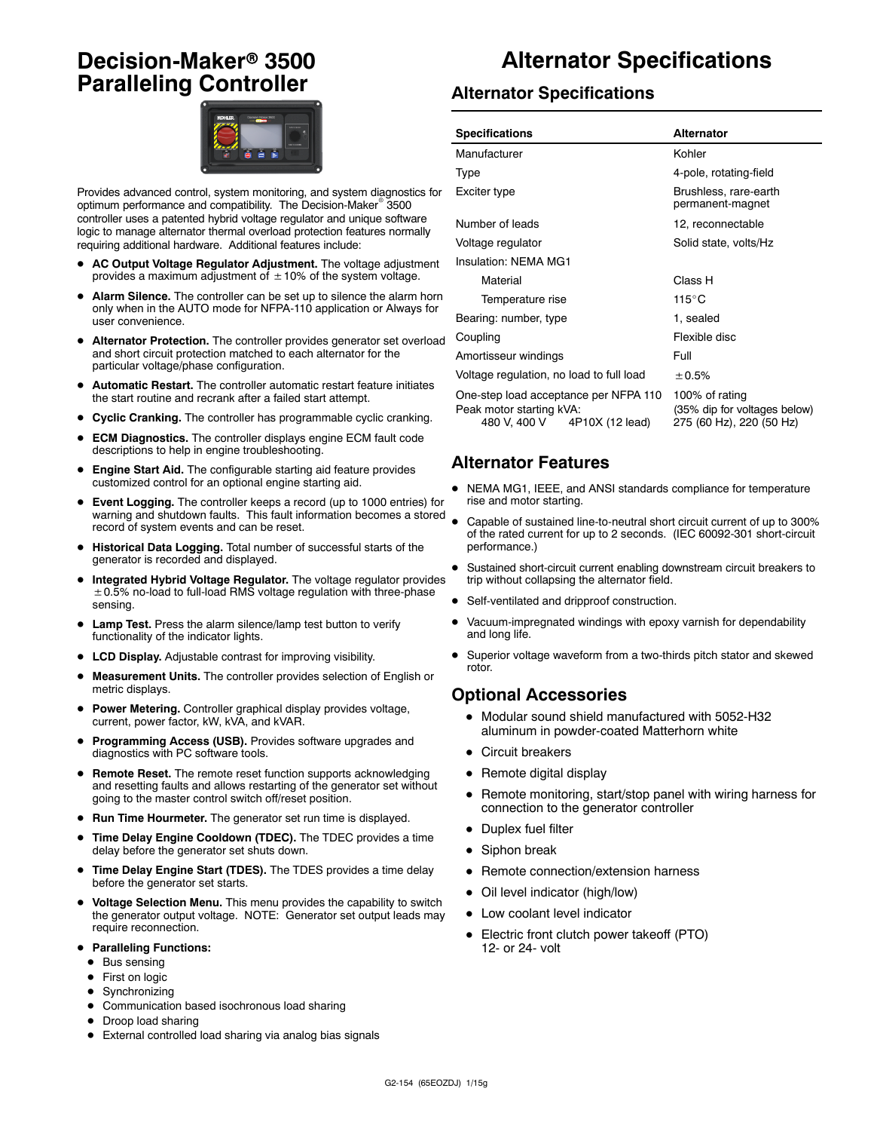### **Decision-Maker<sup>®</sup> 3500 Paralleling Controller**



Provides advanced control, system monitoring, and system diagnostics for optimum performance and compatibility. The Decision-Maker<sup>®</sup> 3500 controller uses a patented hybrid voltage regulator and unique software logic to manage alternator thermal overload protection features normally requiring additional hardware. Additional features include:

- AC Output Voltage Regulator Adjustment. The voltage adjustment provides a maximum adjustment of  $\pm$  10% of the system voltage.
- Alarm Silence. The controller can be set up to silence the alarm horn only when in the AUTO mode for NFPA-110 application or Always for user convenience.
- Alternator Protection. The controller provides generator set overload and short circuit protection matched to each alternator for the particular voltage/phase configuration.
- Automatic Restart. The controller automatic restart feature initiates the start routine and recrank after a failed start attempt.
- **Cyclic Cranking.** The controller has programmable cyclic cranking.
- **ECM Diagnostics.** The controller displays engine ECM fault code descriptions to help in engine troubleshooting.
- Engine Start Aid. The configurable starting aid feature provides customized control for an optional engine starting aid.
- **Event Logging.** The controller keeps a record (up to 1000 entries) for warning and shutdown faults. This fault information becomes a stored record of system events and can be reset.
- $\bullet$  Historical Data Logging. Total number of successful starts of the generator is recorded and displayed.
- Integrated Hybrid Voltage Regulator. The voltage regulator provides  $\pm$  0.5% no-load to full-load RMS voltage regulation with three-phase sensing.
- Lamp Test. Press the alarm silence/lamp test button to verify functionality of the indicator lights.
- LCD Display. Adjustable contrast for improving visibility.
- Measurement Units. The controller provides selection of English or metric displays.
- **Power Metering.** Controller graphical display provides voltage, current, power factor, kW, kVA, and kVAR.
- Programming Access (USB). Provides software upgrades and diagnostics with PC software tools.
- **Remote Reset.** The remote reset function supports acknowledging and resetting faults and allows restarting of the generator set without going to the master control switch off/reset position.
- Run Time Hourmeter. The generator set run time is displayed.
- **Time Delay Engine Cooldown (TDEC).** The TDEC provides a time delay before the generator set shuts down.
- Time Delay Engine Start (TDES). The TDES provides a time delay before the generator set starts.
- $\bullet$  Voltage Selection Menu. This menu provides the capability to switch the generator output voltage. NOTE: Generator set output leads may require reconnection.
- **Paralleling Functions:** 
	- $\bullet$  Bus sensing
	- First on logic
	- $\bullet$  Synchronizing
	- $\bullet$  Communication based isochronous load sharing
	- Droop load sharing
	- External controlled load sharing via analog bias signals

### **Alternator Specifications**

#### **Alternator Specifications**

| <b>Specifications</b>                                                                                | <b>Alternator</b>                                                          |
|------------------------------------------------------------------------------------------------------|----------------------------------------------------------------------------|
| Manufacturer                                                                                         | Kohler                                                                     |
| Type                                                                                                 | 4-pole, rotating-field                                                     |
| Exciter type                                                                                         | Brushless, rare-earth<br>permanent-magnet                                  |
| Number of leads                                                                                      | 12, reconnectable                                                          |
| Voltage regulator                                                                                    | Solid state, volts/Hz                                                      |
| Insulation: NFMA MG1                                                                                 |                                                                            |
| Material                                                                                             | Class H                                                                    |
| Temperature rise                                                                                     | 115°C                                                                      |
| Bearing: number, type                                                                                | 1, sealed                                                                  |
| Coupling                                                                                             | Flexible disc                                                              |
| Amortisseur windings                                                                                 | Full                                                                       |
| Voltage regulation, no load to full load                                                             | ± 0.5%                                                                     |
| One-step load acceptance per NFPA 110<br>Peak motor starting kVA:<br>480 V, 400 V<br>4P10X (12 lead) | 100% of rating<br>(35% dip for voltages below)<br>275 (60 Hz), 220 (50 Hz) |

#### **Alternator Features**

- NEMA MG1, IEEE, and ANSI standards compliance for temperature rise and motor starting.
- Capable of sustained line-to-neutral short circuit current of up to 300% of the rated current for up to 2 seconds. (IEC 60092-301 short-circuit performance.)
- Sustained short-circuit current enabling downstream circuit breakers to trip without collapsing the alternator field.
- Self-ventilated and dripproof construction.
- Vacuum-impregnated windings with epoxy varnish for dependability and long life.
- Superior voltage waveform from a two-thirds pitch stator and skewed rotor.

#### **Optional Accessories**

- $\bullet$  Modular sound shield manufactured with 5052-H32 aluminum in powder-coated Matterhorn white
- Circuit breakers
- $\bullet$  Remote digital display
- Remote monitoring, start/stop panel with wiring harness for connection to the generator controller
- Duplex fuel filter
- $\bullet$  Siphon break
- Remote connection/extension harness
- Oil level indicator (high/low)
- Low coolant level indicator
- Electric front clutch power takeoff (PTO) 12- or 24- volt